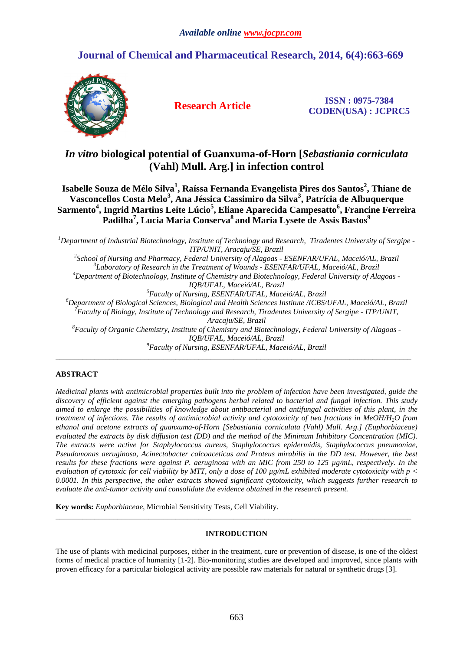# **Journal of Chemical and Pharmaceutical Research, 2014, 6(4):663-669**



**Research Article ISSN : 0975-7384 CODEN(USA) : JCPRC5**

# *In vitro* **biological potential of Guanxuma-of-Horn [***Sebastiania corniculata* **(Vahl) Mull. Arg.] in infection control**

**Isabelle Souza de Mélo Silva<sup>1</sup> , Raíssa Fernanda Evangelista Pires dos Santos<sup>2</sup> , Thiane de Vasconcellos Costa Melo<sup>3</sup> , Ana Jéssica Cassimiro da Silva<sup>3</sup> , Patrícia de Albuquerque Sarmento<sup>4</sup> , Ingrid Martins Leite Lúcio<sup>5</sup> , Eliane Aparecida Campesatto<sup>6</sup> , Francine Ferreira Padilha<sup>7</sup> , Lucia Maria Conserva<sup>8</sup>and Maria Lysete de Assis Bastos<sup>9</sup>**

*Department of Industrial Biotechnology, Institute of Technology and Research, Tiradentes University of Sergipe - ITP/UNIT, Aracaju/SE, Brazil School of Nursing and Pharmacy, Federal University of Alagoas - ESENFAR/UFAL, Maceió/AL, Brazil Laboratory of Research in the Treatment of Wounds - ESENFAR/UFAL, Maceió/AL, Brazil Department of Biotechnology, Institute of Chemistry and Biotechnology, Federal University of Alagoas - IQB/UFAL, Maceió/AL, Brazil Faculty of Nursing, ESENFAR/UFAL, Maceió/AL, Brazil Department of Biological Sciences, Biological and Health Sciences Institute /ICBS/UFAL, Maceió/AL, Brazil Faculty of Biology, Institute of Technology and Research, Tiradentes University of Sergipe - ITP/UNIT, Aracaju/SE, Brazil Faculty of Organic Chemistry, Institute of Chemistry and Biotechnology, Federal University of Alagoas - IQB/UFAL, Maceió/AL, Brazil Faculty of Nursing, ESENFAR/UFAL, Maceió/AL, Brazil*

 $\overline{\phantom{a}}$  , and the state of the state of the state of the state of the state of the state of the state of the state of the state of the state of the state of the state of the state of the state of the state of the stat

# **ABSTRACT**

*Medicinal plants with antimicrobial properties built into the problem of infection have been investigated, guide the discovery of efficient against the emerging pathogens herbal related to bacterial and fungal infection. This study aimed to enlarge the possibilities of knowledge about antibacterial and antifungal activities of this plant, in the treatment of infections. The results of antimicrobial activity and cytotoxicity of two fractions in MeOH/H2O from ethanol and acetone extracts of guanxuma-of-Horn [Sebastiania corniculata (Vahl) Mull. Arg.] (Euphorbiaceae) evaluated the extracts by disk diffusion test (DD) and the method of the Minimum Inhibitory Concentration (MIC). The extracts were active for Staphylococcus aureus, Staphylococcus epidermidis, Staphylococcus pneumoniae, Pseudomonas aeruginosa, Acinectobacter calcoaceticus and Proteus mirabilis in the DD test. However, the best results for these fractions were against P. aeruginosa with an MIC from 250 to 125 µg/mL, respectively. In the evaluation of cytotoxic for cell viability by MTT, only a dose of 100 µg/mL exhibited moderate cytotoxicity with p < 0.0001. In this perspective, the other extracts showed significant cytotoxicity, which suggests further research to evaluate the anti-tumor activity and consolidate the evidence obtained in the research present.* 

**Key words:** *Euphorbiaceae*, Microbial Sensitivity Tests, Cell Viability.

# **INTRODUCTION**

 $\overline{\phantom{a}}$  , and the state of the state of the state of the state of the state of the state of the state of the state of the state of the state of the state of the state of the state of the state of the state of the stat

The use of plants with medicinal purposes, either in the treatment, cure or prevention of disease, is one of the oldest forms of medical practice of humanity [1-2]. Bio-monitoring studies are developed and improved, since plants with proven efficacy for a particular biological activity are possible raw materials for natural or synthetic drugs [3].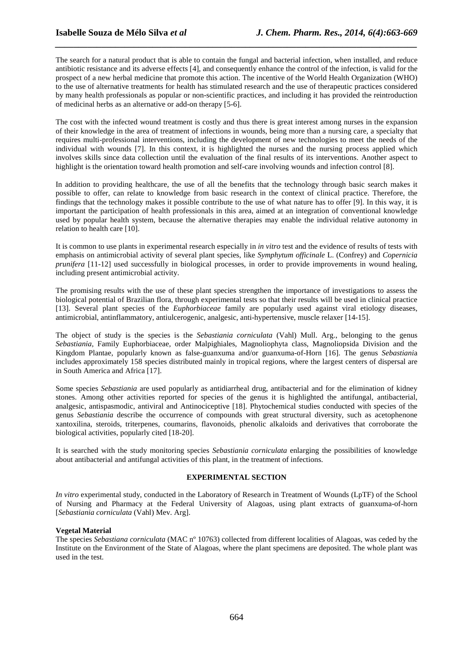The search for a natural product that is able to contain the fungal and bacterial infection, when installed, and reduce antibiotic resistance and its adverse effects [4], and consequently enhance the control of the infection, is valid for the prospect of a new herbal medicine that promote this action. The incentive of the World Health Organization (WHO) to the use of alternative treatments for health has stimulated research and the use of therapeutic practices considered by many health professionals as popular or non-scientific practices, and including it has provided the reintroduction of medicinal herbs as an alternative or add-on therapy [5-6].

*\_\_\_\_\_\_\_\_\_\_\_\_\_\_\_\_\_\_\_\_\_\_\_\_\_\_\_\_\_\_\_\_\_\_\_\_\_\_\_\_\_\_\_\_\_\_\_\_\_\_\_\_\_\_\_\_\_\_\_\_\_\_\_\_\_\_\_\_\_\_\_\_\_\_\_\_\_\_*

The cost with the infected wound treatment is costly and thus there is great interest among nurses in the expansion of their knowledge in the area of treatment of infections in wounds, being more than a nursing care, a specialty that requires multi-professional interventions, including the development of new technologies to meet the needs of the individual with wounds [7]. In this context, it is highlighted the nurses and the nursing process applied which involves skills since data collection until the evaluation of the final results of its interventions. Another aspect to highlight is the orientation toward health promotion and self-care involving wounds and infection control [8].

In addition to providing healthcare, the use of all the benefits that the technology through basic search makes it possible to offer, can relate to knowledge from basic research in the context of clinical practice. Therefore, the findings that the technology makes it possible contribute to the use of what nature has to offer [9]. In this way, it is important the participation of health professionals in this area, aimed at an integration of conventional knowledge used by popular health system, because the alternative therapies may enable the individual relative autonomy in relation to health care [10].

It is common to use plants in experimental research especially in *in vitro* test and the evidence of results of tests with emphasis on antimicrobial activity of several plant species, like *Symphytum officinale* L. (Confrey) and *Copernicia prunifera* [11-12] used successfully in biological processes, in order to provide improvements in wound healing, including present antimicrobial activity.

The promising results with the use of these plant species strengthen the importance of investigations to assess the biological potential of Brazilian flora, through experimental tests so that their results will be used in clinical practice [13]. Several plant species of the *Euphorbiaceae* family are popularly used against viral etiology diseases, antimicrobial, antinflammatory, antiulcerogenic, analgesic, anti-hypertensive, muscle relaxer [14-15].

The object of study is the species is the *Sebastiania corniculata* (Vahl) Mull. Arg., belonging to the genus *Sebastiania*, Family Euphorbiaceae, order Malpighiales, Magnoliophyta class, Magnoliopsida Division and the Kingdom Plantae, popularly known as false-guanxuma and/or guanxuma-of-Horn [16]. The genus *Sebastiani*a includes approximately 158 species distributed mainly in tropical regions, where the largest centers of dispersal are in South America and Africa [17].

Some species *Sebastiania* are used popularly as antidiarrheal drug, antibacterial and for the elimination of kidney stones. Among other activities reported for species of the genus it is highlighted the antifungal, antibacterial, analgesic, antispasmodic, antiviral and Antinociceptive [18]. Phytochemical studies conducted with species of the genus *Sebastiania* describe the occurrence of compounds with great structural diversity, such as acetophenone xantoxilina, steroids, triterpenes, coumarins, flavonoids, phenolic alkaloids and derivatives that corroborate the biological activities, popularly cited [18-20].

It is searched with the study monitoring species *Sebastiania corniculata* enlarging the possibilities of knowledge about antibacterial and antifungal activities of this plant, in the treatment of infections.

## **EXPERIMENTAL SECTION**

*In vitro* experimental study, conducted in the Laboratory of Research in Treatment of Wounds (LpTF) of the School of Nursing and Pharmacy at the Federal University of Alagoas, using plant extracts of guanxuma-of-horn [*Sebastiania corniculata* (Vahl) Mev. Arg].

## **Vegetal Material**

The species *Sebastiana corniculata* (MAC nº 10763) collected from different localities of Alagoas, was ceded by the Institute on the Environment of the State of Alagoas, where the plant specimens are deposited. The whole plant was used in the test.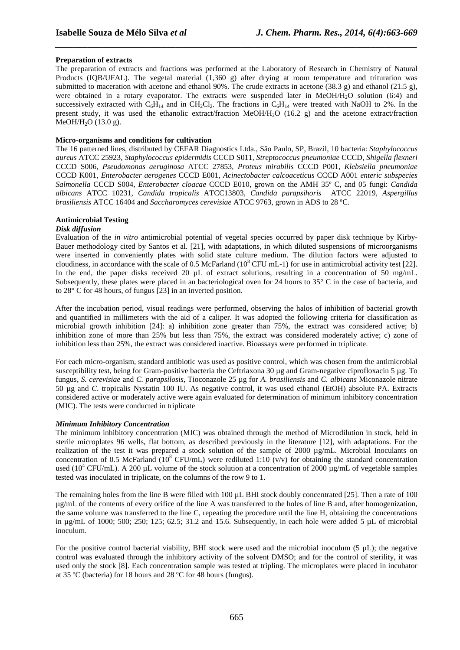## **Preparation of extracts**

The preparation of extracts and fractions was performed at the Laboratory of Research in Chemistry of Natural Products (IQB/UFAL). The vegetal material (1,360 g) after drying at room temperature and trituration was submitted to maceration with acetone and ethanol 90%. The crude extracts in acetone (38.3 g) and ethanol (21.5 g), were obtained in a rotary evaporator. The extracts were suspended later in MeOH/H<sub>2</sub>O solution (6:4) and successively extracted with  $C_6H_{14}$  and in CH<sub>2</sub>Cl<sub>2</sub>. The fractions in  $C_6H_{14}$  were treated with NaOH to 2%. In the present study, it was used the ethanolic extract/fraction MeOH/H2O (16.2 g) and the acetone extract/fraction MeOH/H<sub>2</sub>O (13.0 g).

*\_\_\_\_\_\_\_\_\_\_\_\_\_\_\_\_\_\_\_\_\_\_\_\_\_\_\_\_\_\_\_\_\_\_\_\_\_\_\_\_\_\_\_\_\_\_\_\_\_\_\_\_\_\_\_\_\_\_\_\_\_\_\_\_\_\_\_\_\_\_\_\_\_\_\_\_\_\_*

## **Micro-organisms and conditions for cultivation**

The 16 patterned lines, distributed by CEFAR Diagnostics Ltda., São Paulo, SP, Brazil, 10 bacteria: *Staphylococcus aureus* ATCC 25923, *Staphylococcus epidermidis* CCCD S011, *Streptococcus pneumoniae* CCCD, *Shigella flexneri* CCCD S006, *Pseudomonas aeruginosa* ATCC 27853, *Proteus mirabilis* CCCD P001, *Klebsiella pneumoniae* CCCD K001, *Enterobacter aerogenes* CCCD E001, *Acinectobacter calcoaceticus* CCCD A001 *enteric subspecies Salmonella* CCCD S004, *Enterobacter cloacae* CCCD E010, grown on the AMH 35º C, and 05 fungi: *Candida albicans* ATCC 10231*, Candida tropicalis* ATCC13803, *Candida parapsihoris* ATCC 22019, *Aspergillus brasiliensis* ATCC 16404 and *Saccharomyces cerevisiae* ATCC 9763, grown in ADS to 28 ºC.

## **Antimicrobial Testing**

## *Disk diffusion*

Evaluation of the *in vitro* antimicrobial potential of vegetal species occurred by paper disk technique by Kirby-Bauer methodology cited by Santos et al. [21], with adaptations, in which diluted suspensions of microorganisms were inserted in conveniently plates with solid state culture medium. The dilution factors were adjusted to cloudiness, in accordance with the scale of 0.5 McFarland  $(10^8 \text{ CFU mL-1})$  for use in antimicrobial activity test [22]. In the end, the paper disks received 20  $\mu$ L of extract solutions, resulting in a concentration of 50 mg/mL. Subsequently, these plates were placed in an bacteriological oven for 24 hours to 35° C in the case of bacteria, and to 28° C for 48 hours, of fungus [23] in an inverted position.

After the incubation period, visual readings were performed, observing the halos of inhibition of bacterial growth and quantified in millimeters with the aid of a caliper. It was adopted the following criteria for classification as microbial growth inhibition [24]: a) inhibition zone greater than 75%, the extract was considered active; b) inhibition zone of more than 25% but less than 75%, the extract was considered moderately active; c) zone of inhibition less than 25%, the extract was considered inactive. Bioassays were performed in triplicate.

For each micro-organism, standard antibiotic was used as positive control, which was chosen from the antimicrobial susceptibility test, being for Gram-positive bacteria the Ceftriaxona 30 µg and Gram-negative ciprofloxacin 5 µg. To fungus, *S. cerevisiae* and *C. parapsilosis*, Tioconazole 25 µg for *A. brasiliensis* and *C. albicans* Miconazole nitrate 50 µg and *C*. tropicalis Nystatin 100 IU. As negative control, it was used ethanol (EtOH) absolute PA. Extracts considered active or moderately active were again evaluated for determination of minimum inhibitory concentration (MIC). The tests were conducted in triplicate

## *Minimum Inhibitory Concentration*

The minimum inhibitory concentration (MIC) was obtained through the method of Microdilution in stock, held in sterile microplates 96 wells, flat bottom, as described previously in the literature [12], with adaptations. For the realization of the test it was prepared a stock solution of the sample of 2000  $\mu$ g/mL. Microbial Inoculants on concentration of 0.5 McFarland  $(10^8 \text{ CFU/mL})$  were rediluted 1:10 (v/v) for obtaining the standard concentration used ( $10^4$  CFU/mL). A 200 µL volume of the stock solution at a concentration of 2000 µg/mL of vegetable samples tested was inoculated in triplicate, on the columns of the row 9 to 1.

The remaining holes from the line B were filled with  $100 \mu L$  BHI stock doubly concentrated [25]. Then a rate of 100 µg/mL of the contents of every orifice of the line A was transferred to the holes of line B and, after homogenization, the same volume was transferred to the line C, repeating the procedure until the line H, obtaining the concentrations in  $\mu$ g/mL of 1000; 500; 250; 125; 62.5; 31.2 and 15.6. Subsequently, in each hole were added 5  $\mu$ L of microbial inoculum.

For the positive control bacterial viability, BHI stock were used and the microbial inoculum (5 uL); the negative control was evaluated through the inhibitory activity of the solvent DMSO; and for the control of sterility, it was used only the stock [8]. Each concentration sample was tested at tripling. The microplates were placed in incubator at 35 ºC (bacteria) for 18 hours and 28 ºC for 48 hours (fungus).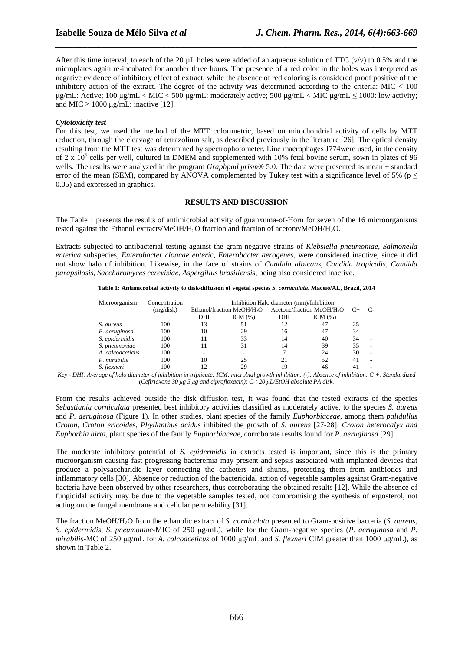After this time interval, to each of the 20  $\mu$ L holes were added of an aqueous solution of TTC (v/v) to 0.5% and the microplates again re-incubated for another three hours. The presence of a red color in the holes was interpreted as negative evidence of inhibitory effect of extract, while the absence of red coloring is considered proof positive of the inhibitory action of the extract. The degree of the activity was determined according to the criteria:  $MIC < 100$  $\mu$ g/mL: Active; 100  $\mu$ g/mL < MIC < 500  $\mu$ g/mL: moderately active; 500  $\mu$ g/mL < MIC  $\mu$ g/mL  $\leq$  1000: low activity; and MIC  $\geq 1000$  µg/mL: inactive [12].

*\_\_\_\_\_\_\_\_\_\_\_\_\_\_\_\_\_\_\_\_\_\_\_\_\_\_\_\_\_\_\_\_\_\_\_\_\_\_\_\_\_\_\_\_\_\_\_\_\_\_\_\_\_\_\_\_\_\_\_\_\_\_\_\_\_\_\_\_\_\_\_\_\_\_\_\_\_\_*

#### *Cytotoxicity test*

For this test, we used the method of the MTT colorimetric, based on mitochondrial activity of cells by MTT reduction, through the cleavage of tetrazolium salt, as described previously in the literature [26]. The optical density resulting from the MTT test was determined by spectrophotometer. Line macrophages J774were used, in the density of 2 x  $10^5$  cells per well, cultured in DMEM and supplemented with 10% fetal bovine serum, sown in plates of 96 wells. The results were analyzed in the program *Graphpad prism*<sup>®</sup> 5.0. The data were presented as mean  $\pm$  standard error of the mean (SEM), compared by ANOVA complemented by Tukey test with a significance level of 5% ( $p \leq$ 0.05) and expressed in graphics.

#### **RESULTS AND DISCUSSION**

The Table 1 presents the results of antimicrobial activity of guanxuma-of-Horn for seven of the 16 microorganisms tested against the Ethanol extracts/MeOH/H<sub>2</sub>O fraction and fraction of acetone/MeOH/H<sub>2</sub>O.

Extracts subjected to antibacterial testing against the gram-negative strains of *Klebsiella pneumoniae, Salmonella enterica* subspecies, *Enterobacter cloacae enteric, Enterobacter aerogenes,* were considered inactive, since it did not show halo of inhibition. Likewise, in the face of strains of *Candida albicans, Candida tropicalis, Candida parapsilosis, Saccharomyces cerevisiae, Aspergillus brasiliensis,* being also considered inactive.

| Table 1: Antimicrobial activity to disk/diffusion of vegetal species S. <i>corniculata</i> . Maceió/AL, Brazil, 2014 |  |  |
|----------------------------------------------------------------------------------------------------------------------|--|--|
|                                                                                                                      |  |  |

| Microorganism    | Concentration | Inhibition Halo diameter (mm)/Inhibition |             |                                        |            |    |  |
|------------------|---------------|------------------------------------------|-------------|----------------------------------------|------------|----|--|
|                  | (mg/disk)     | Ethanol/fraction MeOH/H <sub>2</sub> O   |             | Acetone/fraction MeOH/H <sub>2</sub> O |            |    |  |
|                  |               |                                          |             |                                        |            |    |  |
|                  |               | DHI                                      | ICM $(\% )$ | DHI                                    | ICM $(\%)$ |    |  |
| S. aureus        | 100           | 13                                       | 51          | 12                                     | 47         | 25 |  |
| P. aeruginosa    | 100           | 10                                       | 29          | 16                                     | 47         | 34 |  |
| S. epidermidis   | 100           | 11                                       | 33          | 14                                     | 40         | 34 |  |
| S. pneumoniae    | 100           | 11                                       | 31          | 14                                     | 39         | 35 |  |
| A. calcoaceticus | 100           |                                          |             |                                        | 24         | 30 |  |
| P. mirabilis     | 100           | 10                                       | 25          | 21                                     | 52         | 41 |  |
| S. flexneri      | 100           | 12                                       | 29          | 19                                     | 46         | 41 |  |

*Key - DHI: Average of halo diameter of inhibition in triplicate; ICM: microbial growth inhibition; (-): Absence of inhibition; C +: Standardized (Ceftriaxone 30 µg 5 µg and ciprofloxacin); C-: 20 µL/EtOH absolute PA disk.* 

From the results achieved outside the disk diffusion test, it was found that the tested extracts of the species *Sebastiania corniculata* presented best inhibitory activities classified as moderately active, to the species *S. aureus* and *P. aeruginosa* (Figure 1). In other studies, plant species of the family *Euphorbiaceae*, among them *palidullus Croton, Croton ericoides, Phyllanthus acidus* inhibited the growth of *S. aureus* [27-28]. *Croton heterocalyx and Euphorbia hirta*, plant species of the family *Euphorbiaceae*, corroborate results found for *P. aeruginosa* [29].

The moderate inhibitory potential of *S. epidermidis* in extracts tested is important, since this is the primary microorganism causing fast progressing bacteremia may present and sepsis associated with implanted devices that produce a polysaccharidic layer connecting the catheters and shunts, protecting them from antibiotics and inflammatory cells [30]. Absence or reduction of the bactericidal action of vegetable samples against Gram-negative bacteria have been observed by other researchers, thus corroborating the obtained results [12]. While the absence of fungicidal activity may be due to the vegetable samples tested, not compromising the synthesis of ergosterol, not acting on the fungal membrane and cellular permeability [31].

The fraction MeOH/H2O from the ethanolic extract of *S. corniculata* presented to Gram-positive bacteria (*S. aureus, S. epidermidis, S. pneumoniae*-MIC of 250 µg/mL), while for the Gram-negative species (*P. aeruginosa* and *P. mirabilis*-MC of 250 µg/mL for *A. calcoaceticus* of 1000 µg/mL and *S. flexneri* CIM greater than 1000 µg/mL), as shown in Table 2.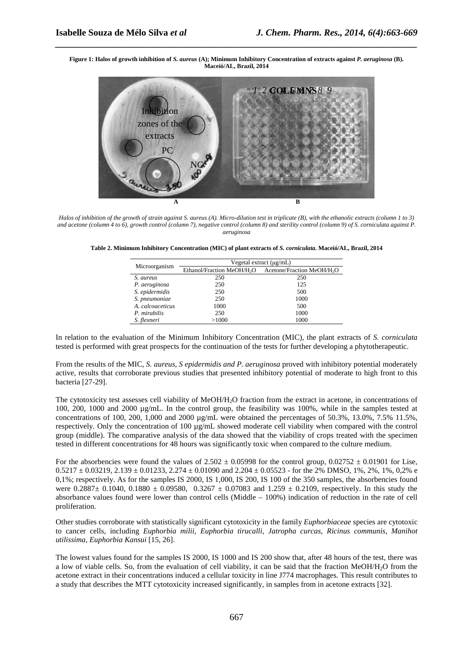**Figure 1: Halos of growth inhibition of** *S. aureus* **(A); Minimum Inhibitory Concentration of extracts against** *P. aeruginosa* **(B). Maceió/AL, Brazil, 2014** 

*\_\_\_\_\_\_\_\_\_\_\_\_\_\_\_\_\_\_\_\_\_\_\_\_\_\_\_\_\_\_\_\_\_\_\_\_\_\_\_\_\_\_\_\_\_\_\_\_\_\_\_\_\_\_\_\_\_\_\_\_\_\_\_\_\_\_\_\_\_\_\_\_\_\_\_\_\_\_*



*Halos of inhibition of the growth of strain against S. aureus (A). Micro-dilution test in triplicate (B), with the ethanolic extracts (column 1 to 3) and acetone (column 4 to 6), growth control (column 7), negative control (column 8) and sterility control (column 9) of S. corniculata against P. aeruginosa* 

**Table 2. Minimum Inhibitory Concentration (MIC) of plant extracts of** *S. corniculata.* **Maceió/AL, Brazil, 2014** 

| Microorganism    | Vegetal extract $(\mu g/mL)$           |                                        |  |  |
|------------------|----------------------------------------|----------------------------------------|--|--|
|                  | Ethanol/Fraction MeOH/H <sub>2</sub> O | Acetone/Fraction MeOH/H <sub>2</sub> O |  |  |
| S. aureus        | 250                                    | 250                                    |  |  |
| P. aeruginosa    | 250                                    | 125                                    |  |  |
| S. epidermidis   | 250                                    | 500                                    |  |  |
| S. pneumoniae    | 250                                    | 1000                                   |  |  |
| A. calcoaceticus | 1000                                   | 500                                    |  |  |
| P. mirabilis     | 250                                    | 1000                                   |  |  |
| S. flexneri      | >1000                                  | 1000                                   |  |  |

In relation to the evaluation of the Minimum Inhibitory Concentration (MIC), the plant extracts of *S. corniculata* tested is performed with great prospects for the continuation of the tests for further developing a phytotherapeutic.

From the results of the MIC, *S. aureus, S epidermidis and P. aeruginosa* proved with inhibitory potential moderately active, results that corroborate previous studies that presented inhibitory potential of moderate to high front to this bacteria [27-29].

The cytotoxicity test assesses cell viability of MeOH/H<sub>2</sub>O fraction from the extract in acetone, in concentrations of 100, 200, 1000 and 2000 µg/mL. In the control group, the feasibility was 100%, while in the samples tested at concentrations of 100, 200, 1,000 and 2000  $\mu$ g/mL were obtained the percentages of 50.3%, 13.0%, 7.5% 11.5%, respectively. Only the concentration of 100 µg/mL showed moderate cell viability when compared with the control group (middle). The comparative analysis of the data showed that the viability of crops treated with the specimen tested in different concentrations for 48 hours was significantly toxic when compared to the culture medium.

For the absorbencies were found the values of  $2.502 \pm 0.05998$  for the control group,  $0.02752 \pm 0.01901$  for Lise,  $0.5217 \pm 0.03219$ ,  $2.139 \pm 0.01233$ ,  $2.274 \pm 0.01090$  and  $2.204 \pm 0.05523$  - for the 2% DMSO, 1%, 2%, 1%, 0,2% e 0,1%; respectively. As for the samples IS 2000, IS 1,000, IS 200, IS 100 of the 350 samples, the absorbencies found were  $0.2887 \pm 0.1040$ ,  $0.1880 \pm 0.09580$ ,  $0.3267 \pm 0.07083$  and  $1.259 \pm 0.2109$ , respectively. In this study the absorbance values found were lower than control cells (Middle  $-100\%$ ) indication of reduction in the rate of cell proliferation.

Other studies corroborate with statistically significant cytotoxicity in the family *Euphorbiaceae* species are cytotoxic to cancer cells, including *Euphorbia milii, Euphorbia tirucalli, Jatropha curcas, Ricinus communis, Manihot utilissima, Euphorbia Kansui* [15, 26].

The lowest values found for the samples IS 2000, IS 1000 and IS 200 show that, after 48 hours of the test, there was a low of viable cells. So, from the evaluation of cell viability, it can be said that the fraction MeOH/H2O from the acetone extract in their concentrations induced a cellular toxicity in line J774 macrophages. This result contributes to a study that describes the MTT cytotoxicity increased significantly, in samples from in acetone extracts [32].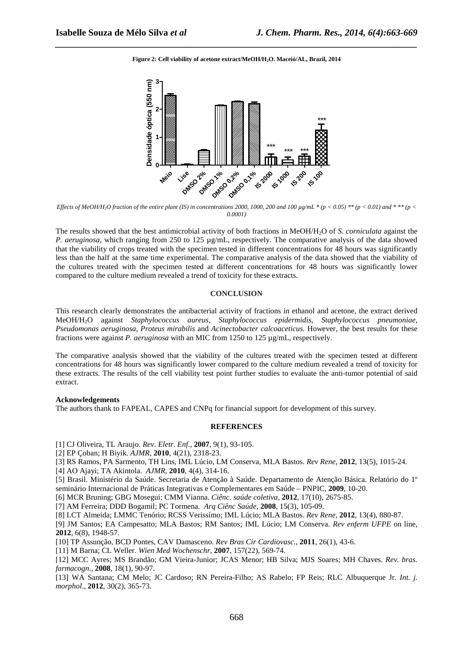*\_\_\_\_\_\_\_\_\_\_\_\_\_\_\_\_\_\_\_\_\_\_\_\_\_\_\_\_\_\_\_\_\_\_\_\_\_\_\_\_\_\_\_\_\_\_\_\_\_\_\_\_\_\_\_\_\_\_\_\_\_\_\_\_\_\_\_\_\_\_\_\_\_\_\_\_\_\_* **Figure 2: Cell viability of acetone extract/MeOH/H2O. Maceió/AL, Brazil, 2014** 



*Effects of MeOH/H<sub>2</sub>O fraction of the entire plant (IS) in concentrations 2000, 1000, 200 and 100*  $\mu g/mL * (p < 0.05) ** (p < 0.01)$  *and \*\*\** $(p < 0.01)$ *0.0001)* 

The results showed that the best antimicrobial activity of both fractions in MeOH/H2O of *S. corniculata* against the *P. aeruginosa*, which ranging from 250 to 125 µg/mL, respectively. The comparative analysis of the data showed that the viability of crops treated with the specimen tested in different concentrations for 48 hours was significantly less than the half at the same time experimental. The comparative analysis of the data showed that the viability of the cultures treated with the specimen tested at different concentrations for 48 hours was significantly lower compared to the culture medium revealed a trend of toxicity for these extracts.

#### **CONCLUSION**

This research clearly demonstrates the antibacterial activity of fractions in ethanol and acetone, the extract derived MeOH/H2O against *Staphylococcus aureus*, *Staphylococcus epidermidis*, *Staphylococcus pneumoniae*, *Pseudomonas aeruginosa*, *Proteus mirabilis* and *Acinectobacter calcoaceticus*. However, the best results for these fractions were against *P. aeruginosa* with an MIC from 1250 to 125 µg/mL, respectively.

The comparative analysis showed that the viability of the cultures treated with the specimen tested at different concentrations for 48 hours was significantly lower compared to the culture medium revealed a trend of toxicity for these extracts. The results of the cell viability test point further studies to evaluate the anti-tumor potential of said extract.

#### **Acknowledgements**

The authors thank to FAPEAL, CAPES and CNPq for financial support for development of this survey.

## **REFERENCES**

- [1] CJ Oliveira, TL Araujo. *Rev*. *Eletr*. *Enf*., **2007**, 9(1), 93-105.
- [2] EP Çoban; H Biyik. *AJMR*, **2010**, 4(21), 2318-23.
- [3] RS Ramos, PA Sarmento, TH Lins, IML Lúcio, LM Conserva, MLA Bastos. *Rev Rene*, **2012**, 13(5), 1015-24.
- [4] AO Ajayi; TA Akintola. *AJMR*, **2010**, 4(4), 314-16.
- [5] Brasil. Ministério da Saúde. Secretaria de Atenção à Saúde. Departamento de Atenção Básica. Relatório do 1º seminário Internacional de Práticas Integrativas e Complementares em Saúde – PNPIC, **2009**, 10-20.

[6] MCR Bruning; GBG Mosegui; CMM Vianna. *Ciênc. saúde coletiva*, **2012**, 17(10), 2675-85.

[7] AM Ferreira; DDD Bogamil; PC Tormena. *Arq Ciênc Saúde*, **2008**, 15(3), 105-09.

[8] LCT Almeida; LMMC Tenório; RCSS Verissímo; IML Lúcio; MLA Bastos. *Rev Rene*, **2012**, 13(4), 880-87.

- [9] JM Santos; EA Campesatto; MLA Bastos; RM Santos; IML Lúcio; LM Conserva. *Rev enferm UFPE* on line, **2012**, 6(8), 1948-57.
- [10] TP Assunção, BCD Pontes, CAV Damasceno. *Rev Bras Cir Cardiovasc*., **2011**, 26(1), 43-6.

[11] M Barna; CL Weller. *Wien Med Wochenschr*, **2007**, 157(22), 569-74.

[12] MCC Ayres; MS Brandão; GM Vieira-Junior; JCAS Menor; HB Silva; MJS Soares; MH Chaves. *Rev. bras. farmacogn*., **2008**, 18(1), 90-97.

[13] WA Santana; CM Melo; JC Cardoso; RN Pereira-Filho; AS Rabelo; FP Reis; RLC Albuquerque Jr. *Int. j. morphol*., **2012**, 30(2), 365-73.